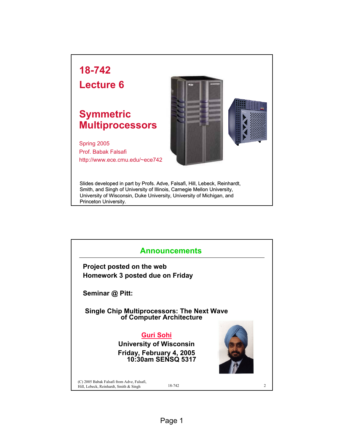## **18-742**

**Lecture 6**

## **Symmetric Multiprocessors**

Spring 2005 Prof. Babak Falsafi http://www.ece.cmu.edu/~ece742



Slides developed in part by Profs. Adve, Falsafi, Hill, Lebeck, Reinhardt, Smith, and Singh of University of Illinois, Carnegie Mellon University, University of Wisconsin, Duke University, University of Michigan, and Princeton University.

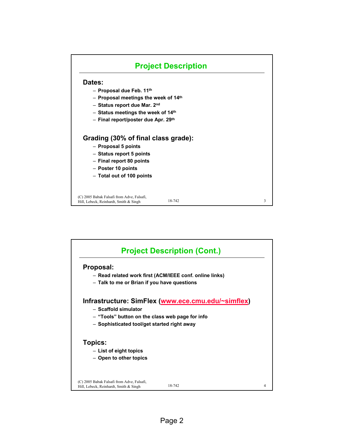

|                                                                                      | <b>Project Description (Cont.)</b>                      |   |
|--------------------------------------------------------------------------------------|---------------------------------------------------------|---|
| Proposal:                                                                            |                                                         |   |
|                                                                                      | - Read related work first (ACM/IEEE conf. online links) |   |
| - Talk to me or Brian if you have questions                                          |                                                         |   |
|                                                                                      | Infrastructure: SimFlex (www.ece.cmu.edu/~simflex)      |   |
| - Scaffold simulator                                                                 |                                                         |   |
| - "Tools" button on the class web page for info                                      |                                                         |   |
| - Sophisticated tool/get started right away                                          |                                                         |   |
| <b>Topics:</b>                                                                       |                                                         |   |
| - List of eight topics                                                               |                                                         |   |
| - Open to other topics                                                               |                                                         |   |
|                                                                                      |                                                         |   |
| (C) 2005 Babak Falsafi from Adve, Falsafi,<br>Hill, Lebeck, Reinhardt, Smith & Singh | 18-742                                                  | 4 |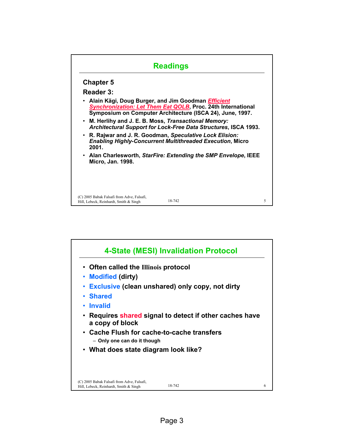## 18-742 5 (C) 2005 Babak Falsafi from Adve, Falsafi, Hill, Lebeck, Reinhardt, Smith & Singh **Readings Chapter 5 Reader 3:** • **Alain Kägi, Doug Burger, and Jim Goodman** *Efficient Synchronization: Let Them Eat QOLB***, Proc. 24th International Symposium on Computer Architecture (ISCA 24), June, 1997.**  • **M. Herlihy and J. E. B. Moss,** *Transactional Memory: Architectural Support for Lock-Free Data Structures***, ISCA 1993.**  • **R. Rajwar and J. R. Goodman,** *Speculative Lock Elision: Enabling Highly-Concurrent Multithreaded Execution***, Micro 2001.**  • **Alan Charlesworth,** *StarFire: Extending the SMP Envelope***, IEEE Micro, Jan. 1998.**

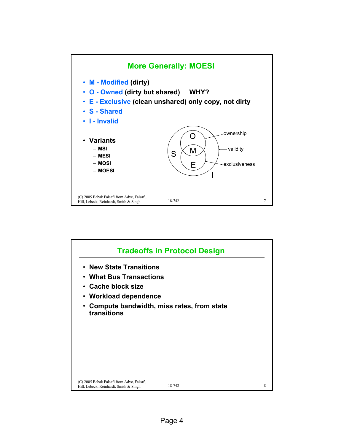

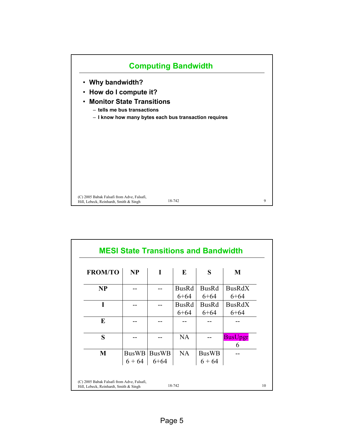

| <b>FROM/TO</b> | NP       | I           | E            | S            | M              |
|----------------|----------|-------------|--------------|--------------|----------------|
| <b>NP</b>      |          |             | <b>BusRd</b> | <b>BusRd</b> | <b>BusRdX</b>  |
|                |          |             | $6 + 64$     | $6 + 64$     | $6 + 64$       |
| I              |          |             | <b>BusRd</b> | <b>BusRd</b> | <b>BusRdX</b>  |
|                |          |             | $6 + 64$     | $6 + 64$     | $6 + 64$       |
| E              |          |             |              |              |                |
| S              |          |             | <b>NA</b>    |              | <b>BusUpgr</b> |
|                |          |             |              |              | 6              |
| M              |          | BusWB BusWB | <b>NA</b>    | <b>BusWB</b> |                |
|                | $6 + 64$ | 6+64        |              | $6 + 64$     |                |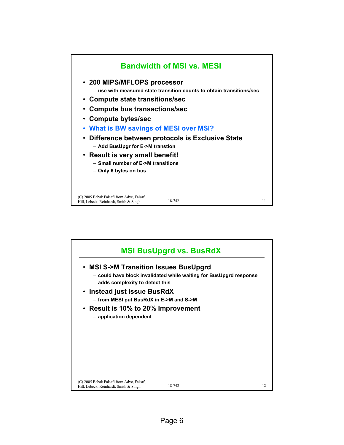

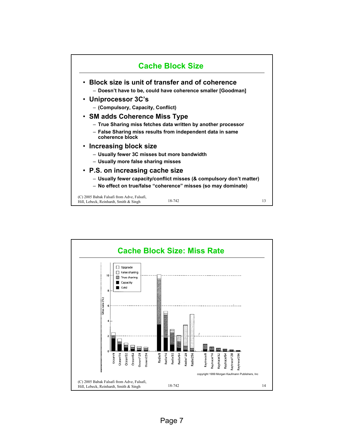

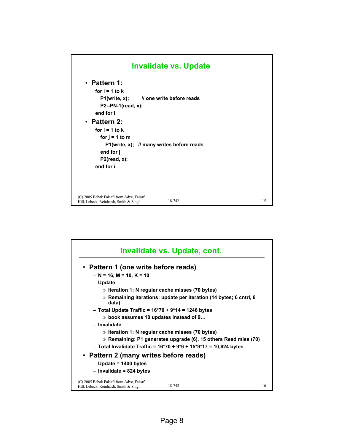

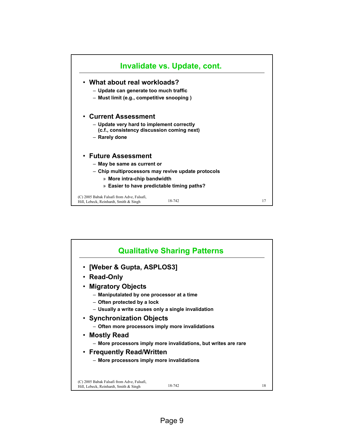

| <b>Qualitative Sharing Patterns</b>                                                            |    |
|------------------------------------------------------------------------------------------------|----|
| • [Weber & Gupta, ASPLOS3]                                                                     |    |
| • Read-Only                                                                                    |    |
| • Migratory Objects                                                                            |    |
| - Maniputalated by one processor at a time                                                     |    |
| - Often protected by a lock                                                                    |    |
| - Usually a write causes only a single invalidation                                            |    |
| • Synchronization Objects                                                                      |    |
| - Often more processors imply more invalidations                                               |    |
| • Mostly Read                                                                                  |    |
| - More processors imply more invalidations, but writes are rare                                |    |
| • Frequently Read/Written                                                                      |    |
| - More processors imply more invalidations                                                     |    |
|                                                                                                |    |
| (C) 2005 Babak Falsafi from Adve, Falsafi,<br>18-742<br>Hill, Lebeck, Reinhardt, Smith & Singh | 18 |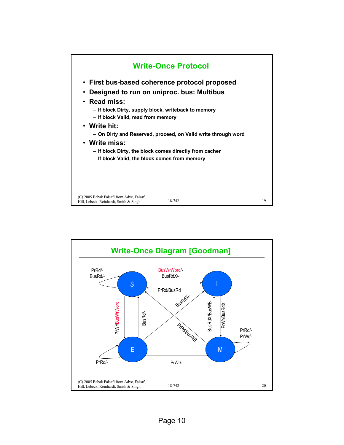

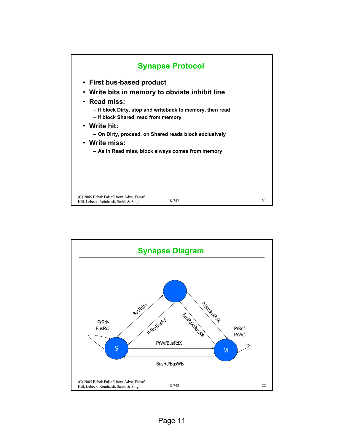

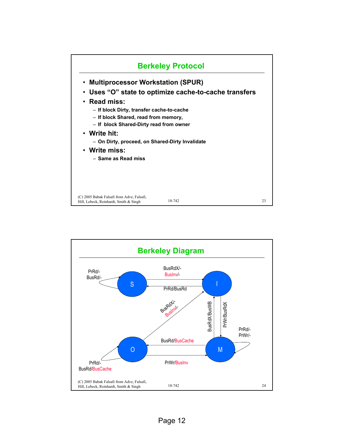

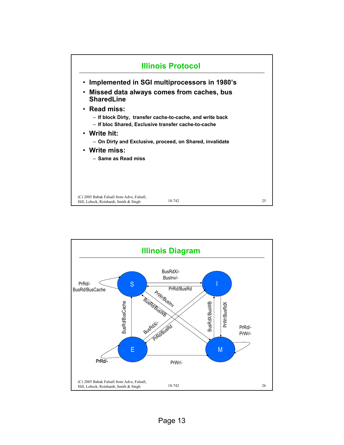

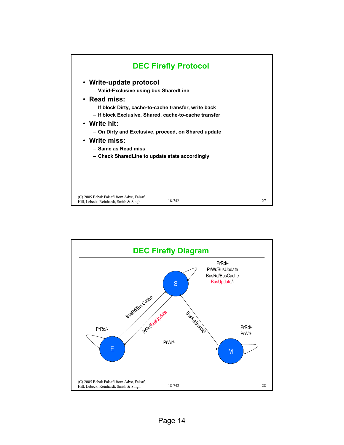

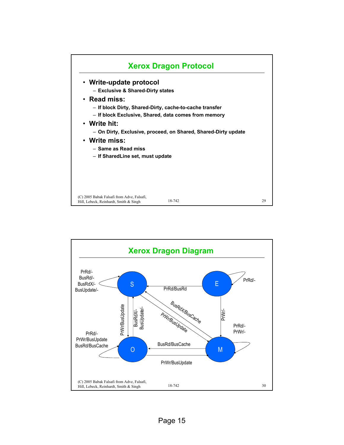